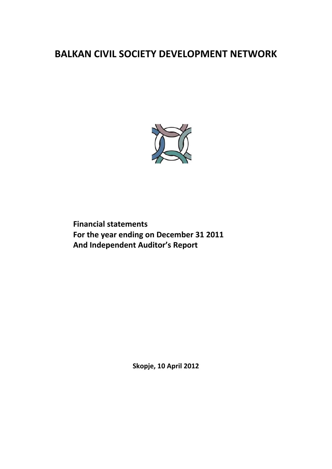

**Financial statements For the year ending on December 31 2011 And Independent Auditor's Report**

**Skopje, 10 April 2012**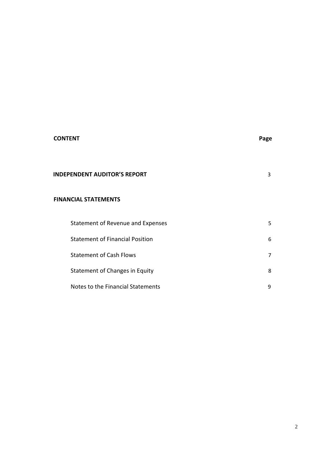# **CONTENT Page**

| <b>INDEPENDENT AUDITOR'S REPORT</b> |
|-------------------------------------|
|-------------------------------------|

# **FINANCIAL STATEMENTS**

| Statement of Revenue and Expenses      | 5 |
|----------------------------------------|---|
| <b>Statement of Financial Position</b> | 6 |
| <b>Statement of Cash Flows</b>         | 7 |
| Statement of Changes in Equity         | 8 |
| Notes to the Financial Statements      | 9 |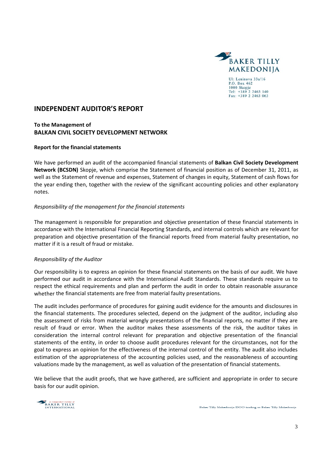

### **INDEPENDENT AUDITOR'S REPORT**

#### **To the Management of BALKAN CIVIL SOCIETY DEVELOPMENT NETWORK**

#### **Report for the financial statements**

We have performed an audit of the accompanied financial statements of **Balkan Civil Society Development Network (BCSDN)** Skopje, which comprise the Statement of financial position as of December 31, 2011, as well as the Statement of revenue and expenses, Statement of changes in equity, Statement of cash flows for the year ending then, together with the review of the significant accounting policies and other explanatory notes.

#### *Responsibility of the management for the financial statements*

The management is responsible for preparation and objective presentation of these financial statements in accordance with the International Financial Reporting Standards, and internal controls which are relevant for preparation and objective presentation of the financial reports freed from material faulty presentation, no matter if it is a result of fraud or mistake.

#### *Responsibility of the Auditor*

Our responsibility is to express an opinion for these financial statements on the basis of our audit. We have performed our audit in accordance with the International Audit Standards. These standards require us to respect the ethical requirements and plan and perform the audit in order to obtain reasonable assurance whether the financial statements are free from material faulty presentations.

The audit includes performance of procedures for gaining audit evidence for the amounts and disclosures in the financial statements. The procedures selected, depend on the judgment of the auditor, including also the assessment of risks from material wrongly presentations of the financial reports, no matter if they are result of fraud or error. When the auditor makes these assessments of the risk, the auditor takes in consideration the internal control relevant for preparation and objective presentation of the financial statements of the entity, in order to choose audit procedures relevant for the circumstances, not for the goal to express an opinion for the effectiveness of the internal control of the entity. The audit also includes estimation of the appropriateness of the accounting policies used, and the reasonableness of accounting valuations made by the management, as well as valuation of the presentation of financial statements.

We believe that the audit proofs, that we have gathered, are sufficient and appropriate in order to secure basis for our audit opinion.

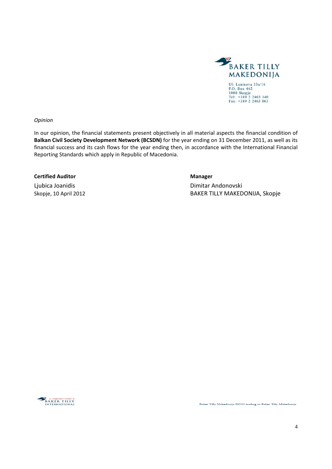

*Opinion* 

In our opinion, the financial statements present objectively in all material aspects the financial condition of **Balkan Civil Society Development Network (BCSDN)** for the year ending on 31 December 2011, as well as its financial success and its cash flows for the year ending then, in accordance with the International Financial Reporting Standards which apply in Republic of Macedonia.

#### **Certified Auditor Manager**

Ljubica Joanidis Dimitar Andonovski Skopje, 10 April 2012 BAKER TILLY MAKEDONIJA, Skopje



Baker Tilly Makedonija DOO trading as Baker Tilly Makedonija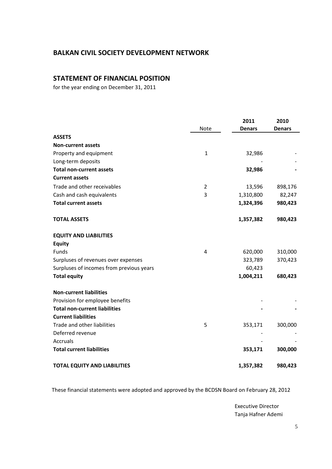# **STATEMENT OF FINANCIAL POSITION**

for the year ending on December 31, 2011

|                                          |              | 2011          | 2010          |
|------------------------------------------|--------------|---------------|---------------|
|                                          | Note         | <b>Denars</b> | <b>Denars</b> |
| <b>ASSETS</b>                            |              |               |               |
| <b>Non-current assets</b>                |              |               |               |
| Property and equipment                   | $\mathbf{1}$ | 32,986        |               |
| Long-term deposits                       |              |               |               |
| <b>Total non-current assets</b>          |              | 32,986        |               |
| <b>Current assets</b>                    |              |               |               |
| Trade and other receivables              | 2            | 13,596        | 898,176       |
| Cash and cash equivalents                | 3            | 1,310,800     | 82,247        |
| <b>Total current assets</b>              |              | 1,324,396     | 980,423       |
| <b>TOTAL ASSETS</b>                      |              | 1,357,382     | 980,423       |
| <b>EQUITY AND LIABILITIES</b>            |              |               |               |
| <b>Equity</b>                            |              |               |               |
| Funds                                    | 4            | 620,000       | 310,000       |
| Surpluses of revenues over expenses      |              | 323,789       | 370,423       |
| Surpluses of incomes from previous years |              | 60,423        |               |
| <b>Total equity</b>                      |              | 1,004,211     | 680,423       |
| <b>Non-current liabilities</b>           |              |               |               |
| Provision for employee benefits          |              |               |               |
| <b>Total non-current liabilities</b>     |              |               |               |
| <b>Current liabilities</b>               |              |               |               |
| Trade and other liabilities              | 5            | 353,171       | 300,000       |
| Deferred revenue                         |              |               |               |
| Accruals                                 |              |               |               |
| <b>Total current liabilities</b>         |              | 353,171       | 300,000       |
| <b>TOTAL EQUITY AND LIABILITIES</b>      |              | 1,357,382     | 980,423       |

These financial statements were adopted and approved by the BCDSN Board on February 28, 2012

 Executive Director Tanja Hafner Ademi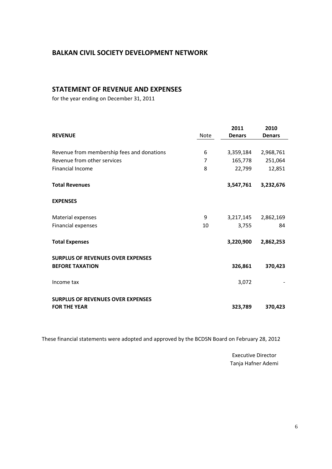## **STATEMENT OF REVENUE AND EXPENSES**

for the year ending on December 31, 2011

| <b>REVENUE</b>                             | <b>Note</b> | 2011<br><b>Denars</b> | 2010<br><b>Denars</b> |
|--------------------------------------------|-------------|-----------------------|-----------------------|
|                                            |             |                       |                       |
| Revenue from membership fees and donations | 6           | 3,359,184             | 2,968,761             |
| Revenue from other services                | 7           | 165,778               | 251,064               |
| <b>Financial Income</b>                    | 8           | 22,799                | 12,851                |
| <b>Total Revenues</b>                      |             | 3,547,761             | 3,232,676             |
| <b>EXPENSES</b>                            |             |                       |                       |
| Material expenses                          | 9           | 3,217,145             | 2,862,169             |
| Financial expenses                         | 10          | 3,755                 | 84                    |
| <b>Total Expenses</b>                      |             | 3,220,900             | 2,862,253             |
| <b>SURPLUS OF REVENUES OVER EXPENSES</b>   |             |                       |                       |
| <b>BEFORE TAXATION</b>                     |             | 326,861               | 370,423               |
| Income tax                                 |             | 3,072                 |                       |
| <b>SURPLUS OF REVENUES OVER EXPENSES</b>   |             |                       |                       |
| <b>FOR THE YEAR</b>                        |             | 323,789               | 370,423               |

These financial statements were adopted and approved by the BCDSN Board on February 28, 2012

 Executive Director Tanja Hafner Ademi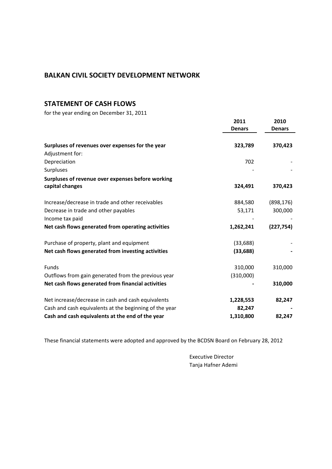# **STATEMENT OF CASH FLOWS**

for the year ending on December 31, 2011

|                                                        | 2011<br><b>Denars</b> | 2010<br><b>Denars</b> |
|--------------------------------------------------------|-----------------------|-----------------------|
| Surpluses of revenues over expenses for the year       | 323,789               | 370,423               |
| Adjustment for:                                        |                       |                       |
| Depreciation                                           | 702                   |                       |
| Surpluses                                              |                       |                       |
| Surpluses of revenue over expenses before working      |                       |                       |
| capital changes                                        | 324,491               | 370,423               |
| Increase/decrease in trade and other receivables       | 884,580               | (898, 176)            |
| Decrease in trade and other payables                   | 53,171                | 300,000               |
| Income tax paid                                        |                       |                       |
| Net cash flows generated from operating activities     | 1,262,241             | (227, 754)            |
| Purchase of property, plant and equipment              | (33, 688)             |                       |
| Net cash flows generated from investing activities     | (33, 688)             |                       |
| Funds                                                  | 310,000               | 310,000               |
| Outflows from gain generated from the previous year    | (310,000)             |                       |
| Net cash flows generated from financial activities     |                       | 310,000               |
| Net increase/decrease in cash and cash equivalents     | 1,228,553             | 82,247                |
| Cash and cash equivalents at the beginning of the year | 82,247                |                       |
| Cash and cash equivalents at the end of the year       | 1,310,800             | 82,247                |

These financial statements were adopted and approved by the BCDSN Board on February 28, 2012

 Executive Director Tanja Hafner Ademi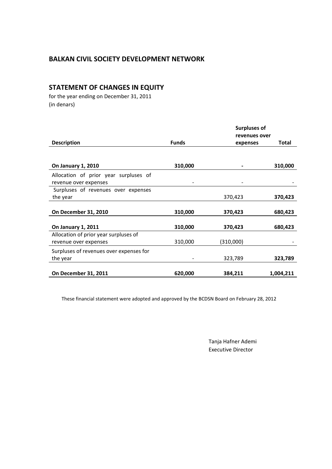# **STATEMENT OF CHANGES IN EQUITY**

 for the year ending on December 31, 2011 (in denars)

|                                         |              | <b>Surpluses of</b><br>revenues over |           |
|-----------------------------------------|--------------|--------------------------------------|-----------|
|                                         |              |                                      |           |
| <b>Description</b>                      | <b>Funds</b> | expenses                             | Total     |
| On January 1, 2010                      | 310,000      |                                      | 310,000   |
| Allocation of prior year surpluses of   |              |                                      |           |
| revenue over expenses                   |              |                                      |           |
| Surpluses of revenues over expenses     |              |                                      |           |
| the year                                |              | 370,423                              | 370,423   |
| On December 31, 2010                    | 310,000      | 370,423                              | 680,423   |
| On January 1, 2011                      | 310,000      | 370,423                              | 680,423   |
| Allocation of prior year surpluses of   |              |                                      |           |
| revenue over expenses                   | 310,000      | (310,000)                            |           |
| Surpluses of revenues over expenses for |              |                                      |           |
| the year                                |              | 323,789                              | 323,789   |
| <b>On December 31, 2011</b>             | 620,000      | 384,211                              | 1,004,211 |

These financial statement were adopted and approved by the BCDSN Board on February 28, 2012

 Tanja Hafner Ademi Executive Director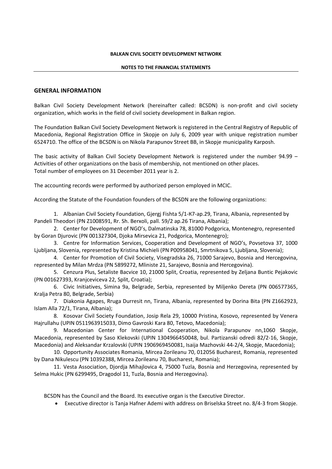#### **NOTES TO THE FINANCIAL STATEMENTS**

#### **GENERAL INFORMATION**

Balkan Civil Society Development Network (hereinafter called: BCSDN) is non‐profit and civil society organization, which works in the field of civil society development in Balkan region.

The Foundation Balkan Civil Society Development Network is registered in the Central Registry of Republic of Macedonia, Regional Registration Office in Skopje on July 6, 2009 year with unique registration number 6524710. The office of the BCSDN is on Nikola Parapunov Street BB, in Skopje municipality Karposh.

The basic activity of Balkan Civil Society Development Network is registered under the number 94.99 – Activities of other organizations on the basis of membership, not mentioned on other places. Total number of employees on 31 December 2011 year is 2.

The accounting records were performed by authorized person employed in MCIC.

According the Statute of the Foundation founders of the BCSDN are the following organizations:

1. Albanian Civil Society Foundation, Gjergj Fishta 5/1‐К7‐ap.29, Tirana, Albania, represented by Pandeli Theodori (PN Z1008591, Rr. Sh. Berxoli, pall. 59/2 ap.26 Tirana, Albania);

2. Center for Development of NGO's, Dalmatinska 78, 81000 Podgorica, Montenegro, represented by Goran Djurovic (PN 001327304, Djoka Mirsevica 21, Podgorica, Montenegro);

3. Centre for Information Services, Cooperation and Development of NGO's, Povsetova 37, 1000 Ljubljana, Slovenia, represented by Kristina Michieli (PN P00958041, Smrtnikova 5, Ljubljana, Slovenia);

4. Center for Promotion of Civil Society, Visegradska 26, 71000 Sarajevo, Bosnia and Hercegovina, represented by Milan Mrdza (PN 5899272, Mliniste 21, Sarajevo, Bosnia and Hercegovina).

5. Cenzura Plus, Setaliste Bacvice 10, 21000 Split, Croatia, represented by Zeljana Buntic Pejakovic (PN 001627393, Kranjceviceva 22, Split, Croatia);

6. Civic Initiatives, Simina 9а, Belgrade, Serbia, represented by Miljenko Dereta (PN 006577365, Kralja Petra 80, Belgrade, Serbia)

7. Diakonia Agapes, Rruga Durresit nn, Tirana, Albania, represented by Dorina Bita (PN Z1662923, Islam Alla 72/1, Tirana, Albania);

8. Kosovar Civil Society Foundation, Josip Rela 29, 10000 Pristina, Kosovo, represented by Venera Hajrullahu (UPIN 0511963915033, Dimo Gavroski Kara 80, Tetovo, Macedonia);

9. Macedonian Center for International Cooperation, Nikola Parapunov nn,1060 Skopje, Macedonia, represented by Saso Klekovski (UPIN 1304966450048, bul. Partizanski odredi 82/2‐16, Skopje, Macedonia) and Aleksandar Krzalovski (UPIN 1906969450081, Isaija Mazhovski 44‐2/4, Skopje, Macedonia);

10. Opportunity Associates Romania, Mircea Zorileanu 70, 012056 Bucharest, Romania, represented by Dana Nikulescu (PN 10392388, Mircea Zorileanu 70, Bucharest, Romania);

11. Vesta Association, Djordja Mihajlovica 4, 75000 Tuzla, Bosnia and Herzegovina, represented by Selma Hukic (PN 6299495, Dragodol 11, Tuzla, Bosnia and Herzegovina).

BCSDN has the Council and the Board. Its executive organ is the Executive Director.

Executive director is Tanja Hafner Ademi with address on Briselska Street no. 8/4‐3 from Skopje.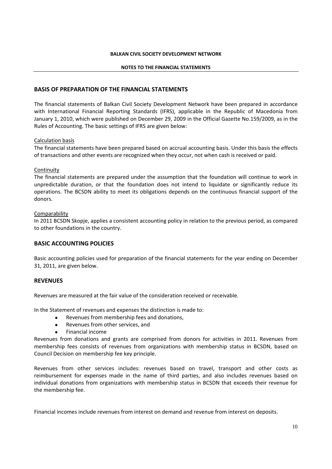#### **NOTES TO THE FINANCIAL STATEMENTS**

#### **BASIS OF PREPARATION OF THE FINANCIAL STATEMENTS**

The financial statements of Balkan Civil Society Development Network have been prepared in accordance with International Financial Reporting Standards (IFRS), applicable in the Republic of Macedonia from January 1, 2010, which were published on December 29, 2009 in the Official Gazette No.159/2009, as in the Rules of Accounting. The basic settings of IFRS are given below:

#### Calculation basis

The financial statements have been prepared based on accrual accounting basis. Under this basis the effects of transactions and other events are recognized when they occur, not when cash is received or paid.

#### **Continuity**

The financial statements are prepared under the assumption that the foundation will continue to work in unpredictable duration, or that the foundation does not intend to liquidate or significantly reduce its operations. The BCSDN ability to meet its obligations depends on the continuous financial support of the donors.

#### **Comparability**

In 2011 BCSDN Skopje, applies a consistent accounting policy in relation to the previous period, as compared to other foundations in the country.

#### **BASIC ACCOUNTING POLICIES**

Basic accounting policies used for preparation of the financial statements for the year ending on December 31, 2011, are given below.

#### **REVENUES**

Revenues are measured at the fair value of the consideration received or receivable.

In the Statement of revenues and expenses the distinction is made to:

- Revenues from membership fees and donations,
- Revenues from other services, and
- Financial income

Revenues from donations and grants are comprised from donors for activities in 2011. Revenues from membership fees consists of revenues from organizations with membership status in BCSDN, based on Council Decision on membership fee key principle.

Revenues from other services includes: revenues based on travel, transport and other costs as reimbursement for expenses made in the name of third parties, and also includes revenues based on individual donations from organizations with membership status in BCSDN that exceeds their revenue for the membership fee.

Financial incomes include revenues from interest on demand and revenue from interest on deposits.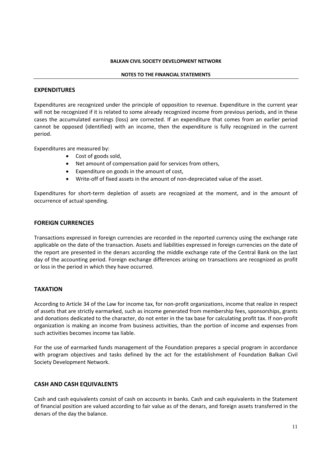#### **NOTES TO THE FINANCIAL STATEMENTS**

#### **EXPENDITURES**

Expenditures are recognized under the principle of opposition to revenue. Expenditure in the current year will not be recognized if it is related to some already recognized income from previous periods, and in these cases the accumulated earnings (loss) are corrected. If an expenditure that comes from an earlier period cannot be opposed (identified) with an income, then the expenditure is fully recognized in the current period.

Expenditures are measured by:

- Cost of goods sold.
- Net amount of compensation paid for services from others,
- Expenditure on goods in the amount of cost,
- Write-off of fixed assets in the amount of non-depreciated value of the asset.

Expenditures for short-term depletion of assets are recognized at the moment, and in the amount of occurrence of actual spending.

#### **FOREIGN CURRENCIES**

Transactions expressed in foreign currencies are recorded in the reported currency using the exchange rate applicable on the date of the transaction. Assets and liabilities expressed in foreign currencies on the date of the report are presented in the denars according the middle exchange rate of the Central Bank on the last day of the accounting period. Foreign exchange differences arising on transactions are recognized as profit or loss in the period in which they have occurred.

#### **TAXATION**

According to Article 34 of the Law for income tax, for non‐profit organizations, income that realize in respect of assets that are strictly earmarked, such as income generated from membership fees, sponsorships, grants and donations dedicated to the character, do not enter in the tax base for calculating profit tax. If non‐profit organization is making an income from business activities, than the portion of income and expenses from such activities becomes income tax liable.

For the use of earmarked funds management of the Foundation prepares a special program in accordance with program objectives and tasks defined by the act for the establishment of Foundation Balkan Civil Society Development Network.

#### **CASH AND CASH EQUIVALENTS**

Cash and cash equivalents consist of cash on accounts in banks. Cash and cash equivalents in the Statement of financial position are valued according to fair value as of the denars, and foreign assets transferred in the denars of the day the balance.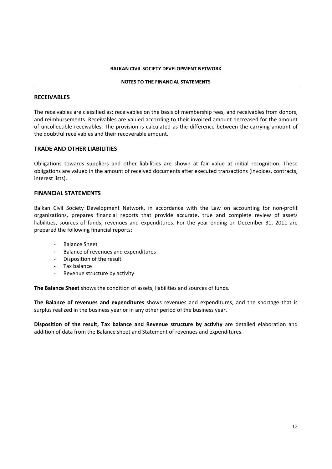#### **NOTES TO THE FINANCIAL STATEMENTS**

#### **RECEIVABLES**

The receivables are classified as: receivables on the basis of membership fees, and receivables from donors, and reimbursements. Receivables are valued according to their invoiced amount decreased for the amount of uncollectible receivables. The provision is calculated as the difference between the carrying amount of the doubtful receivables and their recoverable amount.

#### **TRADE AND OTHER LIABILITIES**

Obligations towards suppliers and other liabilities are shown at fair value at initial recognition. These obligations are valued in the amount of received documents after executed transactions (invoices, contracts, interest lists).

#### **FINANCIAL STATEMENTS**

Balkan Civil Society Development Network, in accordance with the Law on accounting for non‐profit organizations, prepares financial reports that provide accurate, true and complete review of assets liabilities, sources of funds, revenues and expenditures. For the year ending on December 31, 2011 are prepared the following financial reports:

- Balance Sheet
- Balance of revenues and expenditures
- Disposition of the result
- Tax balance
- Revenue structure by activity

**The Balance Sheet** shows the condition of assets, liabilities and sources of funds.

**The Balance of revenues and expenditures** shows revenues and expenditures, and the shortage that is surplus realized in the business year or in any other period of the business year.

**Disposition of the result, Tax balance and Revenue structure by activity** are detailed elaboration and addition of data from the Balance sheet and Statement of revenues and expenditures.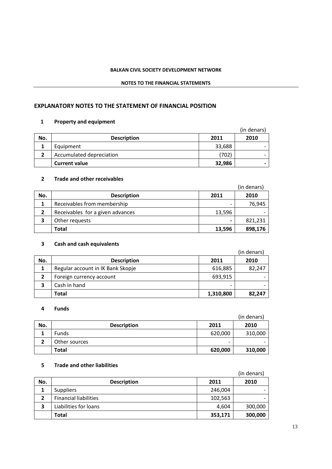#### **NOTES TO THE FINANCIAL STATEMENTS**

#### **EXPLANATORY NOTES TO THE STATEMENT OF FINANCIAL POSITION**

### **1 Property and equipment**

|     |                          |        | (in denars) |
|-----|--------------------------|--------|-------------|
| No. | <b>Description</b>       | 2011   | 2010        |
|     | Equipment                | 33,688 |             |
|     | Accumulated depreciation | (702)  | -           |
|     | <b>Current value</b>     | 32,986 | -           |

#### **2 Trade and other receivables**

|     |                                  |                | (in denars) |
|-----|----------------------------------|----------------|-------------|
| No. | <b>Description</b>               | 2011           | 2010        |
|     | Receivables from membership      |                | 76,945      |
|     | Receivables for a given advances | 13,596         |             |
| 3   | Other requests                   | $\blacksquare$ | 821,231     |
|     | Total                            | 13,596         | 898,176     |

# **3 Cash and cash equivalents**

|     |                                   |                          | (in denars) |
|-----|-----------------------------------|--------------------------|-------------|
| No. | <b>Description</b>                | 2011                     | 2010        |
|     | Regular account in IK Bank Skopje | 616,885                  | 82,247      |
|     | Foreign currency account          | 693,915                  |             |
| 3   | Cash in hand                      | $\overline{\phantom{0}}$ |             |
|     | Total                             | 1,310,800                | 82,247      |

#### **4 Funds**

|     |                    |         | (in denars) |
|-----|--------------------|---------|-------------|
| No. | <b>Description</b> | 2011    | 2010        |
|     | Funds              | 620,000 | 310,000     |
| ∍   | Other sources      | -       |             |
|     | Total              | 620,000 | 310,000     |

#### **5 Trade and other liabilities**

|     |                              |         | (in denars) |
|-----|------------------------------|---------|-------------|
| No. | <b>Description</b>           | 2011    | 2010        |
|     | <b>Suppliers</b>             | 246,004 |             |
|     | <b>Financial liabilities</b> | 102,563 |             |
| 3   | Liabilities for loans        | 4,604   | 300,000     |
|     | Total                        | 353,171 | 300,000     |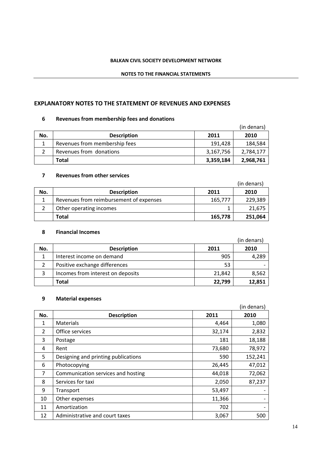#### **NOTES TO THE FINANCIAL STATEMENTS**

### **EXPLANATORY NOTES TO THE STATEMENT OF REVENUES AND EXPENSES**

#### **Revenues from membership fees and donations**

|     |                               |           | (in denars) |
|-----|-------------------------------|-----------|-------------|
| No. | <b>Description</b>            | 2011      | 2010        |
|     | Revenues from membership fees | 191,428   | 184,584     |
|     | Revenues from donations       | 3,167,756 | 2,784,177   |
|     | Total                         | 3,359,184 | 2,968,761   |

# **Revenues from other services**

|     |                                         |         | (in denars) |
|-----|-----------------------------------------|---------|-------------|
| No. | <b>Description</b>                      | 2011    | 2010        |
|     | Revenues from reimbursement of expenses | 165,777 | 229,389     |
|     | Other operating incomes                 |         | 21,675      |
|     | Total                                   | 165,778 | 251,064     |

#### **Financial Incomes**

|     |                                   |        | (in denars) |
|-----|-----------------------------------|--------|-------------|
| No. | <b>Description</b>                | 2011   | 2010        |
|     | Interest income on demand         | 905    | 4,289       |
|     | Positive exchange differences     | 53     |             |
|     | Incomes from interest on deposits | 21,842 | 8,562       |
|     | Total                             | 22,799 | 12,851      |

#### **Material expenses**

|                |                                     |        | (in denars)                  |
|----------------|-------------------------------------|--------|------------------------------|
| No.            | <b>Description</b>                  | 2011   | 2010                         |
| 1              | <b>Materials</b>                    | 4,464  | 1,080                        |
| $\overline{2}$ | Office services                     | 32,174 | 2,832                        |
| 3              | Postage                             | 181    | 18,188                       |
| 4              | Rent                                | 73,680 | 78,972                       |
| 5              | Designing and printing publications | 590    | 152,241                      |
| 6              | Photocopying                        | 26,445 | 47,012                       |
| 7              | Communication services and hosting  | 44,018 | 72,062                       |
| 8              | Services for taxi                   | 2,050  | 87,237                       |
| 9              | Transport                           | 53,497 |                              |
| 10             | Other expenses                      | 11,366 | $\qquad \qquad \blacksquare$ |
| 11             | Amortization                        | 702    |                              |
| 12             | Administrative and court taxes      | 3,067  | 500                          |